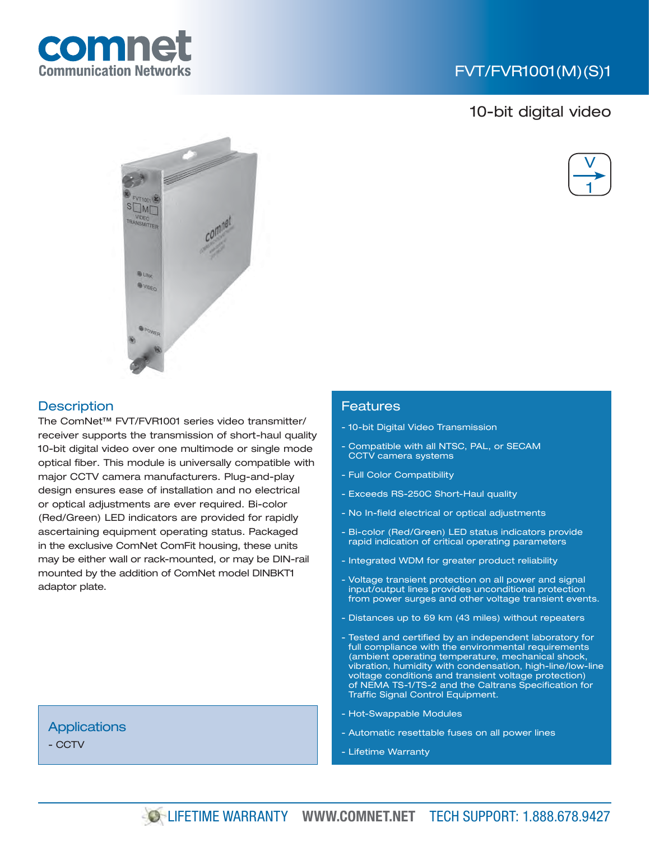

## FVT/FVR1001(M)(S)1

## 10-bit digital video





### **Description**

The ComNet™ FVT/FVR1001 series video transmitter/ receiver supports the transmission of short-haul quality 10-bit digital video over one multimode or single mode optical fiber. This module is universally compatible with major CCTV camera manufacturers. Plug-and-play design ensures ease of installation and no electrical or optical adjustments are ever required. Bi-color (Red/Green) LED indicators are provided for rapidly ascertaining equipment operating status. Packaged in the exclusive ComNet ComFit housing, these units may be either wall or rack-mounted, or may be DIN-rail mounted by the addition of ComNet model DINBKT1 adaptor plate.

#### Features

- 10-bit Digital Video Transmission
- Compatible with all NTSC, PAL, or SECAM CCTV camera systems
- Full Color Compatibility
- Exceeds RS-250C Short-Haul quality
- No In-field electrical or optical adjustments
- Bi-color (Red/Green) LED status indicators provide rapid indication of critical operating parameters
- Integrated WDM for greater product reliability
- Voltage transient protection on all power and signal input/output lines provides unconditional protection from power surges and other voltage transient events.
- Distances up to 69 km (43 miles) without repeaters
- Tested and certified by an independent laboratory for full compliance with the environmental requirements (ambient operating temperature, mechanical shock, vibration, humidity with condensation, high-line/low-line voltage conditions and transient voltage protection) of NEMA TS-1/TS-2 and the Caltrans Specification for Traffic Signal Control Equipment.
- Hot-Swappable Modules
- Automatic resettable fuses on all power lines
- Lifetime Warranty

## **Applications**